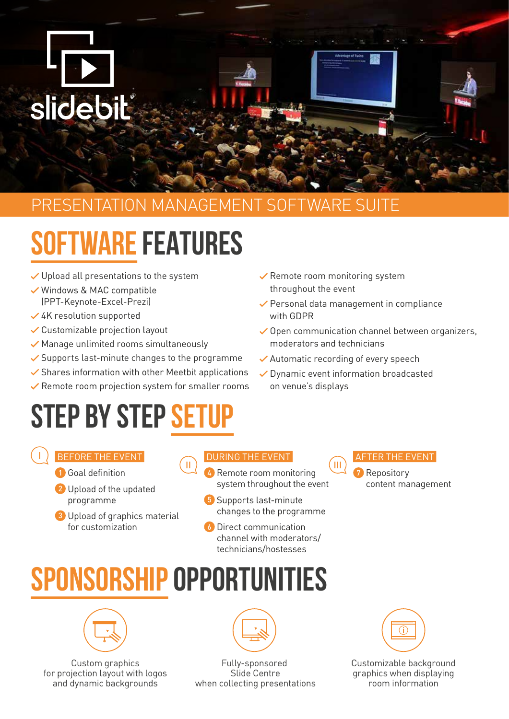

### PRESENTATION MANAGEMENT SOFTWARE SUITE

# **SOFTWARE FEATURES**

- $\checkmark$  Upload all presentations to the system
- Windows & MAC compatible (PPT-Keynote-Excel-Prezi)
- 4K resolution supported
- Customizable projection layout
- $\checkmark$  Manage unlimited rooms simultaneously
- $\checkmark$  Supports last-minute changes to the programme
- $\checkmark$  Shares information with other Meetbit applications
- $\checkmark$  Remote room projection system for smaller rooms

# **STEP BY STEP SET**

- $\checkmark$  Remote room monitoring system throughout the event
- Personal data management in compliance with GDPR
- $\checkmark$  Open communication channel between organizers, moderators and technicians
- **◆ Automatic recording of every speech**
- Dynamic event information broadcasted on venue's displays

BEFORE THE EVENT

I

- **1** Goal definition
- 2 Upload of the updated programme
- 3 Upload of graphics material for customization

#### DURING THE EVENT

- $\mathbf{u}$  iii) and  $\mathbf{u}$  if the contract of  $\mathbf{u}$ 4 Remote room monitoring system throughout the event
	- 5 Supports last-minute changes to the programme
	- 6 Direct communication channel with moderators/ technicians/hostesses

#### AFTER THE EVENT

**7** Repository content management

# **SPONSORSHIP OPPORTUNITIES**



Custom graphics for projection layout with logos and dynamic backgrounds



Fully-sponsored Slide Centre when collecting presentations



Customizable background graphics when displaying room information